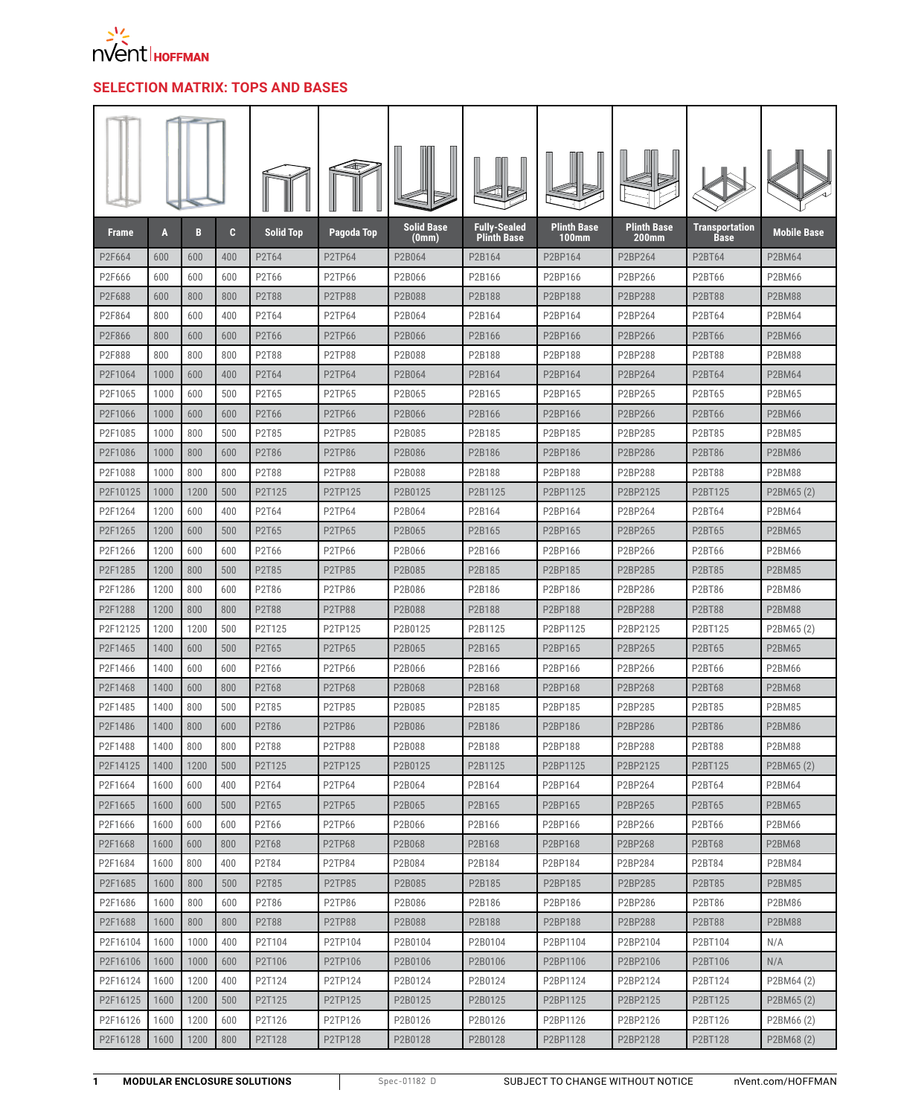

## **SELECTION MATRIX: TOPS AND BASES**

| <b>Frame</b> | A    | B    | C.  | <b>Solid Top</b> | Pagoda Top    | <b>Solid Base</b><br>(0mm) | <b>Fully-Sealed</b><br><b>Plinth Base</b> | Plinth Base<br>$100$ mm | <b>Plinth Base</b><br>200mm | Transportation<br>Base | <b>Mobile Base</b> |
|--------------|------|------|-----|------------------|---------------|----------------------------|-------------------------------------------|-------------------------|-----------------------------|------------------------|--------------------|
| P2F664       | 600  | 600  | 400 | P2T64            | <b>P2TP64</b> | P2B064                     | P2B164                                    | P2BP164                 | P2BP264                     | <b>P2BT64</b>          | <b>P2BM64</b>      |
| P2F666       | 600  | 600  | 600 | P2T66            | P2TP66        | P2B066                     | P2B166                                    | P2BP166                 | P2BP266                     | P2BT66                 | P2BM66             |
| P2F688       | 600  | 800  | 800 | <b>P2T88</b>     | <b>P2TP88</b> | P2B088                     | P2B188                                    | P2BP188                 | P2BP288                     | <b>P2BT88</b>          | <b>P2BM88</b>      |
| P2F864       | 800  | 600  | 400 | P2T64            | <b>P2TP64</b> | P2B064                     | P2B164                                    | P2BP164                 | P2BP264                     | P2BT64                 | <b>P2BM64</b>      |
| P2F866       | 800  | 600  | 600 | P2T66            | <b>P2TP66</b> | P2B066                     | P2B166                                    | P2BP166                 | P2BP266                     | <b>P2BT66</b>          | <b>P2BM66</b>      |
| P2F888       | 800  | 800  | 800 | P2T88            | <b>P2TP88</b> | P2B088                     | P2B188                                    | P2BP188                 | P2BP288                     | <b>P2BT88</b>          | <b>P2BM88</b>      |
| P2F1064      | 1000 | 600  | 400 | P2T64            | <b>P2TP64</b> | P2B064                     | P2B164                                    | P2BP164                 | P2BP264                     | <b>P2BT64</b>          | <b>P2BM64</b>      |
| P2F1065      | 1000 | 600  | 500 | P2T65            | P2TP65        | P2B065                     | P2B165                                    | P2BP165                 | P2BP265                     | P2BT65                 | <b>P2BM65</b>      |
| P2F1066      | 1000 | 600  | 600 | P2T66            | <b>P2TP66</b> | P2B066                     | P2B166                                    | P2BP166                 | P2BP266                     | <b>P2BT66</b>          | <b>P2BM66</b>      |
| P2F1085      | 1000 | 800  | 500 | P2T85            | <b>P2TP85</b> | P2B085                     | P2B185                                    | P2BP185                 | P2BP285                     | <b>P2BT85</b>          | <b>P2BM85</b>      |
| P2F1086      | 1000 | 800  | 600 | P2T86            | P2TP86        | P2B086                     | P2B186                                    | P2BP186                 | P2BP286                     | <b>P2BT86</b>          | <b>P2BM86</b>      |
| P2F1088      | 1000 | 800  | 800 | P2T88            | P2TP88        | P2B088                     | P2B188                                    | P2BP188                 | P2BP288                     | <b>P2BT88</b>          | <b>P2BM88</b>      |
| P2F10125     | 1000 | 1200 | 500 | P2T125           | P2TP125       | P2B0125                    | P2B1125                                   | P2BP1125                | P2BP2125                    | P2BT125                | P2BM65 (2)         |
| P2F1264      | 1200 | 600  | 400 | P2T64            | P2TP64        | P2B064                     | P2B164                                    | P2BP164                 | P2BP264                     | P2BT64                 | <b>P2BM64</b>      |
| P2F1265      | 1200 | 600  | 500 | P2T65            | <b>P2TP65</b> | P2B065                     | P2B165                                    | P2BP165                 | P2BP265                     | <b>P2BT65</b>          | <b>P2BM65</b>      |
| P2F1266      | 1200 | 600  | 600 | P2T66            | <b>P2TP66</b> | P2B066                     | P2B166                                    | P2BP166                 | P2BP266                     | P2BT66                 | P2BM66             |
| P2F1285      | 1200 | 800  | 500 | P2T85            | P2TP85        | P2B085                     | P2B185                                    | P2BP185                 | P2BP285                     | <b>P2BT85</b>          | <b>P2BM85</b>      |
| P2F1286      | 1200 | 800  | 600 | P2T86            | P2TP86        | P2B086                     | P2B186                                    | P2BP186                 | P2BP286                     | P2BT86                 | <b>P2BM86</b>      |
| P2F1288      | 1200 | 800  | 800 | P2T88            | P2TP88        | P2B088                     | P2B188                                    | P2BP188                 | P2BP288                     | <b>P2BT88</b>          | <b>P2BM88</b>      |
| P2F12125     | 1200 | 1200 | 500 | P2T125           | P2TP125       | P2B0125                    | P2B1125                                   | P2BP1125                | P2BP2125                    | P2BT125                | P2BM65 (2)         |
| P2F1465      | 1400 | 600  | 500 | P2T65            | <b>P2TP65</b> | P2B065                     | P2B165                                    | P2BP165                 | P2BP265                     | <b>P2BT65</b>          | <b>P2BM65</b>      |
| P2F1466      | 1400 | 600  | 600 | P2T66            | P2TP66        | P2B066                     | P2B166                                    | P2BP166                 | P2BP266                     | P2BT66                 | P2BM66             |
| P2F1468      | 1400 | 600  | 800 | P2T68            | <b>P2TP68</b> | P2B068                     | P2B168                                    | P2BP168                 | P2BP268                     | <b>P2BT68</b>          | <b>P2BM68</b>      |
| P2F1485      | 1400 | 800  | 500 | P2T85            | P2TP85        | P2B085                     | P2B185                                    | P2BP185                 | P2BP285                     | <b>P2BT85</b>          | <b>P2BM85</b>      |
| P2F1486      | 1400 | 800  | 600 | P2T86            | P2TP86        | P2B086                     | P2B186                                    | P2BP186                 | P2BP286                     | <b>P2BT86</b>          | <b>P2BM86</b>      |
| P2F1488      | 1400 | 800  | 800 | P2T88            | <b>P2TP88</b> | P2B088                     | P2B188                                    | P2BP188                 | P2BP288                     | <b>P2BT88</b>          | <b>P2BM88</b>      |
| P2F14125     | 1400 | 1200 | 500 | P2T125           | P2TP125       | P2B0125                    | P2B1125                                   | P2BP1125                | P2BP2125                    | P2BT125                | P2BM65(2)          |
| P2F1664      | 1600 | 600  | 400 | P2T64            | P2TP64        | P2B064                     | P2B164                                    | P2BP164                 | P2BP264                     | P2BT64                 | <b>P2BM64</b>      |
| P2F1665      | 1600 | 600  | 500 | P2T65            | P2TP65        | P2B065                     | P2B165                                    | P2BP165                 | P2BP265                     | P2BT65                 | <b>P2BM65</b>      |
| P2F1666      | 1600 | 600  | 600 | P2T66            | P2TP66        | P2B066                     | P2B166                                    | P2BP166                 | P2BP266                     | P2BT66                 | P2BM66             |
| P2F1668      | 1600 | 600  | 800 | P2T68            | P2TP68        | P2B068                     | P2B168                                    | P2BP168                 | P2BP268                     | <b>P2BT68</b>          | <b>P2BM68</b>      |
| P2F1684      | 1600 | 800  | 400 | P2T84            | P2TP84        | P2B084                     | P2B184                                    | P2BP184                 | P2BP284                     | P2BT84                 | P2BM84             |
| P2F1685      | 1600 | 800  | 500 | P2T85            | <b>P2TP85</b> | P2B085                     | P2B185                                    | P2BP185                 | P2BP285                     | <b>P2BT85</b>          | <b>P2BM85</b>      |
| P2F1686      | 1600 | 800  | 600 | P2T86            | P2TP86        | P2B086                     | P2B186                                    | P2BP186                 | P2BP286                     | P2BT86                 | <b>P2BM86</b>      |
| P2F1688      | 1600 | 800  | 800 | P2T88            | P2TP88        | P2B088                     | P2B188                                    | P2BP188                 | P2BP288                     | <b>P2BT88</b>          | <b>P2BM88</b>      |
| P2F16104     | 1600 | 1000 | 400 | P2T104           | P2TP104       | P2B0104                    | P2B0104                                   | P2BP1104                | P2BP2104                    | P2BT104                | N/A                |
| P2F16106     | 1600 | 1000 | 600 | P2T106           | P2TP106       | P2B0106                    | P2B0106                                   | P2BP1106                | P2BP2106                    | P2BT106                | N/A                |
| P2F16124     | 1600 | 1200 | 400 | P2T124           | P2TP124       | P2B0124                    | P2B0124                                   | P2BP1124                | P2BP2124                    | P2BT124                | P2BM64 (2)         |
| P2F16125     | 1600 | 1200 | 500 | P2T125           | P2TP125       | P2B0125                    | P2B0125                                   | P2BP1125                | P2BP2125                    | P2BT125                | P2BM65 (2)         |
| P2F16126     | 1600 | 1200 | 600 | P2T126           | P2TP126       | P2B0126                    | P2B0126                                   | P2BP1126                | P2BP2126                    | P2BT126                | P2BM66 (2)         |
| P2F16128     | 1600 | 1200 | 800 | P2T128           | P2TP128       | P2B0128                    | P2B0128                                   | P2BP1128                | P2BP2128                    | P2BT128                | P2BM68 (2)         |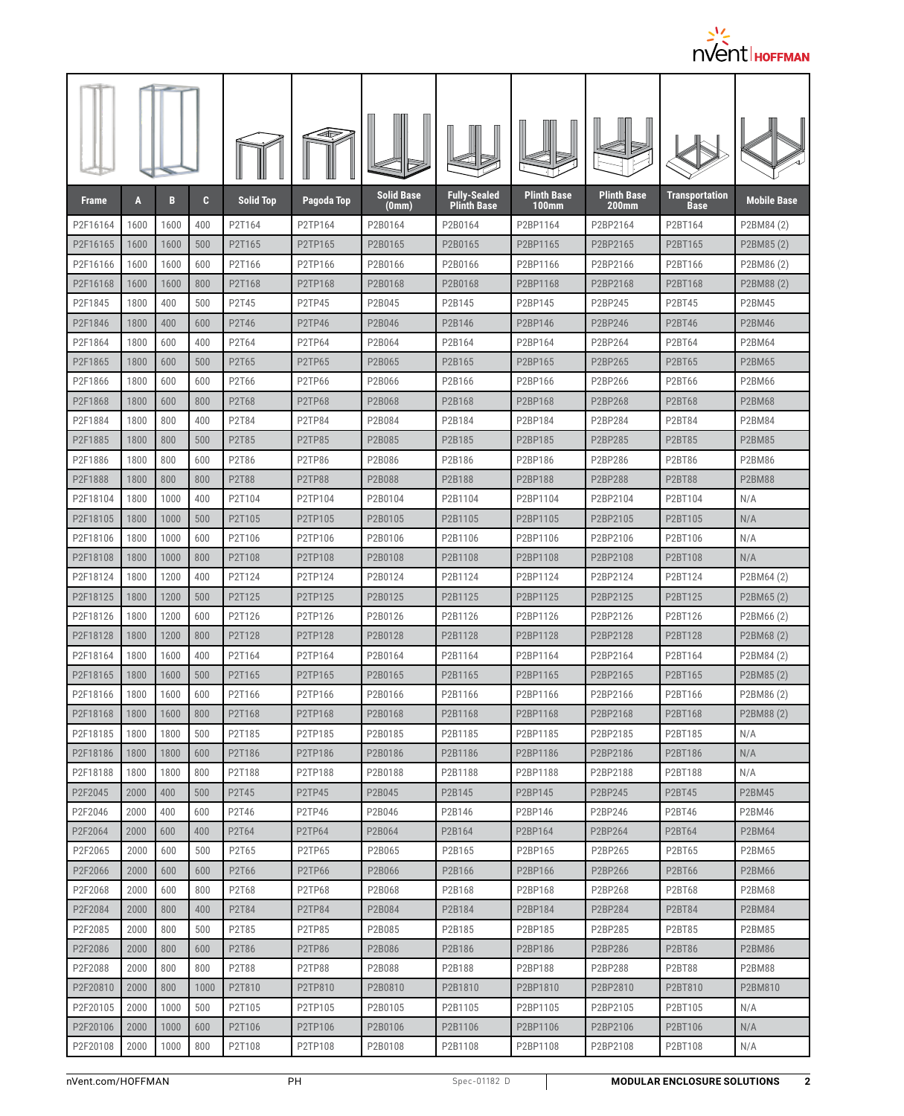

| <b>Frame</b>         | A            | В            | C.         | <b>Solid Top</b> | Pagoda Top                      | <b>Solid Base</b><br>(0mm) | <b>Fully-Sealed</b><br><b>Plinth Base</b> | <b>Plinth Base</b><br><b>100mm</b> | Plinth Base<br>200 <sub>mm</sub> | <b>Transportation</b><br><b>Base</b> | <b>Mobile Base</b> |
|----------------------|--------------|--------------|------------|------------------|---------------------------------|----------------------------|-------------------------------------------|------------------------------------|----------------------------------|--------------------------------------|--------------------|
| P2F16164             | 1600         | 1600         | 400        | P2T164           | P2TP164                         | P2B0164                    | P2B0164                                   | P2BP1164                           | P2BP2164                         | P2BT164                              | P2BM84 (2)         |
| P2F16165             | 1600         | 1600         | 500        | P2T165           | P2TP165                         | P2B0165                    | P2B0165                                   | P2BP1165                           | P2BP2165                         | P2BT165                              | P2BM85(2)          |
| P2F16166             | 1600         | 1600         | 600        | P2T166           | P2TP166                         | P2B0166                    | P2B0166                                   | P2BP1166                           | P2BP2166                         | P2BT166                              | P2BM86 (2)         |
| P2F16168             | 1600         | 1600         | 800        | P2T168           | P2TP168                         | P2B0168                    | P2B0168                                   | P2BP1168                           | P2BP2168                         | P2BT168                              | P2BM88 (2)         |
| P2F1845              | 1800         | 400          | 500        | P2T45            | <b>P2TP45</b>                   | P2B045                     | P2B145                                    | P2BP145                            | P2BP245                          | <b>P2BT45</b>                        | <b>P2BM45</b>      |
| P2F1846              | 1800         | 400          | 600        | P2T46            | P <sub>2</sub> TP <sub>46</sub> | P2B046                     | P2B146                                    | P2BP146                            | P2BP246                          | <b>P2BT46</b>                        | <b>P2BM46</b>      |
| P2F1864              | 1800         | 600          | 400        | P2T64            | <b>P2TP64</b>                   | P2B064                     | P2B164                                    | P2BP164                            | P2BP264                          | P2BT64                               | <b>P2BM64</b>      |
| P2F1865              | 1800         | 600          | 500        | P2T65            | <b>P2TP65</b>                   | P2B065                     | P2B165                                    | P2BP165                            | P2BP265                          | <b>P2BT65</b>                        | P2BM65             |
| P2F1866              | 1800         | 600          | 600        | P2T66            | P2TP66                          | P2B066                     | P2B166                                    | P2BP166                            | P2BP266                          | P2BT66                               | <b>P2BM66</b>      |
| P2F1868              | 1800         | 600          | 800        | P2T68            | <b>P2TP68</b>                   | P2B068                     | P2B168                                    | P2BP168                            | P2BP268                          | <b>P2BT68</b>                        | <b>P2BM68</b>      |
| P2F1884              | 1800         | 800          | 400        | P2T84            | <b>P2TP84</b>                   | P2B084                     | P2B184                                    | P2BP184                            | P2BP284                          | P2BT84                               | <b>P2BM84</b>      |
| P2F1885              | 1800         | 800          | 500        | P2T85            | <b>P2TP85</b>                   | P2B085                     | P2B185                                    | P2BP185                            | P2BP285                          | <b>P2BT85</b>                        | <b>P2BM85</b>      |
| P2F1886              | 1800         | 800          | 600        | P2T86            | P2TP86                          | P2B086                     | P2B186                                    | P2BP186                            | P2BP286                          | P2BT86                               | <b>P2BM86</b>      |
| P2F1888              | 1800         | 800          | 800        | <b>P2T88</b>     | P2TP88                          | P2B088                     | P2B188                                    | P2BP188                            | P2BP288                          | <b>P2BT88</b>                        | <b>P2BM88</b>      |
| P2F18104             | 1800         | 1000         | 400        | P2T104           | P2TP104                         | P2B0104                    | P2B1104                                   | P2BP1104                           | P2BP2104                         | P2BT104                              | N/A                |
| P2F18105             | 1800         | 1000         | 500        | P2T105           | P2TP105                         | P2B0105                    | P2B1105                                   | P2BP1105                           | P2BP2105                         | P2BT105                              | N/A                |
| P2F18106             | 1800         | 1000         | 600        | P2T106           | P2TP106                         | P2B0106                    | P2B1106                                   | P2BP1106                           | P2BP2106                         | P2BT106                              | N/A                |
| P2F18108             | 1800         | 1000         | 800        | P2T108           | P2TP108                         | P2B0108                    | P2B1108                                   | P2BP1108                           | P2BP2108                         | P2BT108                              | N/A                |
| P2F18124             | 1800         | 1200         | 400        | P2T124           | P2TP124                         | P2B0124                    | P2B1124                                   | P2BP1124                           | P2BP2124                         | P2BT124                              | P2BM64 (2)         |
| P2F18125             | 1800         | 1200         | 500        | P2T125           | P2TP125                         | P2B0125                    | P2B1125                                   | P2BP1125                           | P2BP2125                         | P2BT125                              | P2BM65(2)          |
| P2F18126             | 1800         | 1200         | 600        | P2T126           | P2TP126                         | P2B0126                    | P2B1126                                   | P2BP1126                           | P2BP2126                         | P2BT126                              | P2BM66 (2)         |
| P2F18128             | 1800         | 1200         | 800        | P2T128           | P2TP128                         | P2B0128                    | P2B1128                                   | P2BP1128                           | P2BP2128                         | P2BT128                              | P2BM68 (2)         |
| P2F18164             | 1800         | 1600         | 400        | P2T164           | P2TP164                         | P2B0164                    | P2B1164                                   | P2BP1164                           | P2BP2164                         | P2BT164                              | P2BM84 (2)         |
| P2F18165             | 1800         | 1600         | 500        | P2T165           | P2TP165                         | P2B0165                    | P2B1165                                   | P2BP1165                           | P2BP2165                         | P2BT165                              | P2BM85 (2)         |
| P2F18166             | 1800         | 1600         | 600        | P2T166           | P2TP166                         | P2B0166                    | P2B1166                                   | P2BP1166                           | P2BP2166                         | P2BT166                              | P2BM86 (2)         |
| P2F18168<br>P2F18185 | 1800<br>1800 | 1600<br>1800 | 800<br>500 | P2T168<br>P2T185 | P2TP168<br>P2TP185              | P2B0168<br>P2B0185         | P2B1168<br>P2B1185                        | P2BP1168<br>P2BP1185               | P2BP2168<br>P2BP2185             | P2BT168<br>P2BT185                   | P2BM88 (2)<br>N/A  |
| P2F18186             | 1800         | 1800         | 600        | P2T186           | P2TP186                         | P2B0186                    | P2B1186                                   | P2BP1186                           | P2BP2186                         | P2BT186                              | N/A                |
| P2F18188             | 1800         | 1800         | 800        | P2T188           | P2TP188                         | P2B0188                    | P2B1188                                   | P2BP1188                           | P2BP2188                         | P2BT188                              | N/A                |
| P2F2045              | 2000         | 400          | 500        | P2T45            | P2TP45                          | P2B045                     | P2B145                                    | P2BP145                            | P2BP245                          | <b>P2BT45</b>                        | <b>P2BM45</b>      |
| P2F2046              | 2000         | 400          | 600        | P2T46            | P2TP46                          | P2B046                     | P2B146                                    | P2BP146                            | P2BP246                          | P2BT46                               | P2BM46             |
| P2F2064              | 2000         | 600          | 400        | P2T64            | P2TP64                          | P2B064                     | P2B164                                    | P2BP164                            | P2BP264                          | P2BT64                               | <b>P2BM64</b>      |
| P2F2065              | 2000         | 600          | 500        | P2T65            | P2TP65                          | P2B065                     | P2B165                                    | P2BP165                            | P2BP265                          | P2BT65                               | P2BM65             |
| P2F2066              | 2000         | 600          | 600        | P2T66            | P2TP66                          | P2B066                     | P2B166                                    | P2BP166                            | P2BP266                          | <b>P2BT66</b>                        | <b>P2BM66</b>      |
| P2F2068              | 2000         | 600          | 800        | P2T68            | P2TP68                          | P2B068                     | P2B168                                    | P2BP168                            | P2BP268                          | P2BT68                               | <b>P2BM68</b>      |
| P2F2084              | 2000         | 800          | 400        | P2T84            | P2TP84                          | P2B084                     | P2B184                                    | P2BP184                            | P2BP284                          | P2BT84                               | P2BM84             |
| P2F2085              | 2000         | 800          | 500        | P2T85            | P2TP85                          | P2B085                     | P2B185                                    | P2BP185                            | P2BP285                          | <b>P2BT85</b>                        | <b>P2BM85</b>      |
| P2F2086              | 2000         | 800          | 600        | P2T86            | P2TP86                          | P2B086                     | P2B186                                    | P2BP186                            | P2BP286                          | <b>P2BT86</b>                        | <b>P2BM86</b>      |
| P2F2088              | 2000         | 800          | 800        | P2T88            | P2TP88                          | P2B088                     | P2B188                                    | P2BP188                            | P2BP288                          | <b>P2BT88</b>                        | <b>P2BM88</b>      |
| P2F20810             | 2000         | 800          | 1000       | P2T810           | P2TP810                         | P2B0810                    | P2B1810                                   | P2BP1810                           | P2BP2810                         | P2BT810                              | P2BM810            |
| P2F20105             | 2000         | 1000         | 500        | P2T105           | P2TP105                         | P2B0105                    | P2B1105                                   | P2BP1105                           | P2BP2105                         | P2BT105                              | N/A                |
| P2F20106             | 2000         | 1000         | 600        | P2T106           | P2TP106                         | P2B0106                    | P2B1106                                   | P2BP1106                           | P2BP2106                         | P2BT106                              | N/A                |
| P2F20108             | 2000         | 1000         | 800        | P2T108           | P2TP108                         | P2B0108                    | P2B1108                                   | P2BP1108                           | P2BP2108                         | P2BT108                              | N/A                |